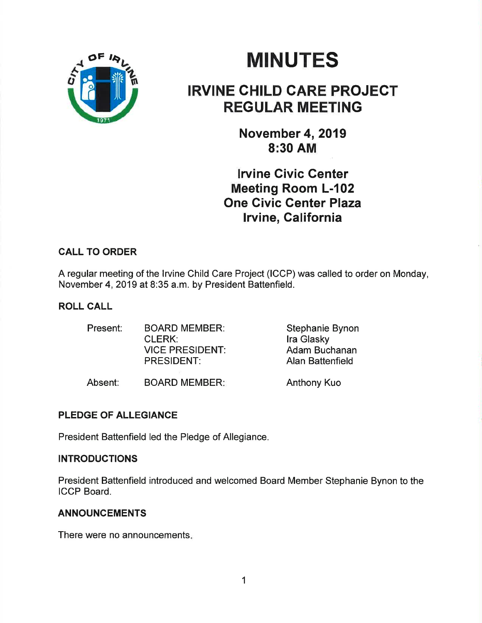

# **MINUTES**

## IRVINE GHILD GARE PROJEGT REGULAR MEETING

November 4, 2019 8:30 AM

lrvine Givic Genter Meeting Room L-102 One Givic Center Plaza lrvine, California

### CALL TO ORDER

A regular meeting of the lrvine Child Care Project (ICCP) was called to order on Monday, November 4,2019 at 8:35 a.m. by President Battenfield.

#### ROLL GALL

| Present: | <b>BOARD MEMBER:</b>   | Stephanie Bynon  |
|----------|------------------------|------------------|
|          | <b>CLERK:</b>          | Ira Glasky       |
|          | <b>VICE PRESIDENT:</b> | Adam Buchanan    |
|          | <b>PRESIDENT:</b>      | Alan Battenfield |
|          |                        |                  |

Absent: BOARD MEMBER: Anthony Kuo

PLEDGE OF ALLEGIANCE

President Battenfield led the Pledge of Allegiance.

#### **INTRODUCTIONS**

President Battenfield introduced and welcomed Board Member Stephanie Bynon to the ICCP Board.

#### ANNOUNCEMENTS

There were no announcements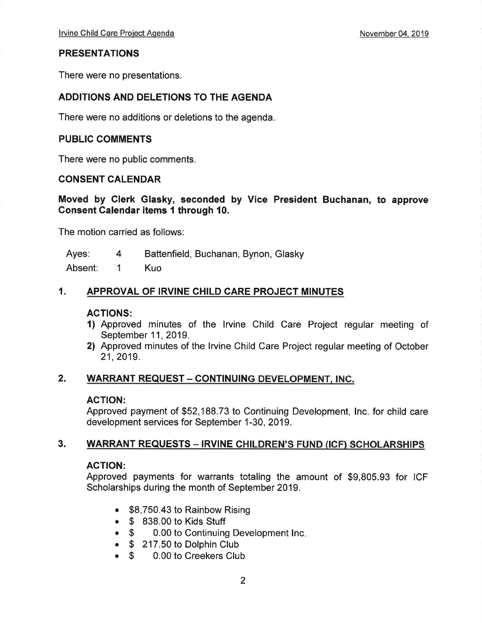#### **PRESENTATIONS**

There were no presentations.

#### ADDITIONS AND DELETIONS TO THE AGENDA

There were no additions or deletions to the agenda.

#### PUBLIC COMMENTS

There were no public comments.

#### CONSENT CALENDAR

Moved by Glerk Glasky, seconded by Vice President Buchanan, to approve Consent Calendar items I through 10.

The motion carried as follows:

Ayes: 4 Battenfield, Buchanan, Bynon, Glasky

Absent: 1 Kuo

#### 1. APPROVAL OF IRVINE CHILD CARE PROJECT MINUTES

#### ACTIONS:

- 1) Approved minutes of the lrvine Child Care Project regular meeting of September 11, 2019.
- 2) Approved minutes of the lrvine Child Care Project regular meeting of October 21,2019.

#### 2. WARRANT REQUEST - CONTINUING DEVELOPMENT, INC.

#### AGTION:

Approved payment of \$52,188.73 to Continuing Development, Inc. for child care development services for September 1-30, 2019.

#### 3. WARRANT REQUESTS - IRVINE CHILDREN'S FUND (ICF) SCHOLARSHIPS

#### ACTION:

Approved payments for warrants totaling the amount of \$9,805.93 for ICF Scholarships during the month of September 2019.

- . \$8,750.43 to Rainbow Rising
- S 838.00 to Kids Stuff<br>S 0.00 to Continuing
- \$ 0.00 to Continuing Development Inc.
- \$ 217.50 to Dolphin Club<br>● \$ 0.00 to Creekers Clul
- 0.00 to Creekers Club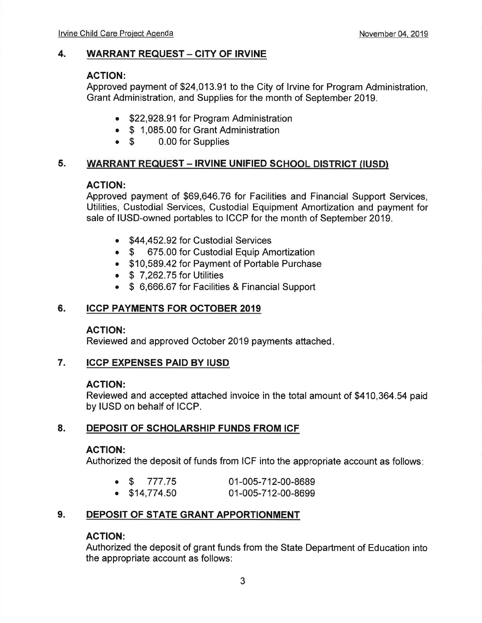#### 4. WARRANT REQUEST - CITY OF IRVINE

#### AGTION:

Approved payment of \$24,013.91 to the City of lrvine for Program Administration, Grant Administration, and Supplies for the month of September 2019.

- \$22,928.91 for Program Administration
- \$ 1,085.00 for Grant Administration<br>• \$ 0.00 for Supplies
- 0.00 for Supplies

#### 5. WARRANT REQUEST - IRVINE UNIFIED SCHOOL DISTRICT (IUSD)

#### AGTION:

Approved payment of \$69,646.76 for Facilities and Financial Support Services, Utilities, Custodial Services, Custodial Equipment Amortization and payment for sale of IUSD-owned portables to ICCP for the month of September 2019.

- \$44,452,92 for Custodial Services
- \$ 675.00 for Custodial Equip Amortization
- . \$10,589.42 for Payment of Portable Purchase
- $\bullet$  \$ 7.262.75 for Utilities
- \$ 6,666,67 for Facilities & Financial Support

#### 6. ICCP PAYMENTS FOR OCTOBER 2OI9

#### AGTION:

Reviewed and approved October 2019 payments attached

#### 7. ICCP EXPENSES PAID BY IUSD

#### AGTION:

Reviewed and accepted attached invoice in the total amount of \$410,364.54 paid by IUSD on behalf of ICCP.

#### 8. DEPOSIT OF SCHOLARSHIP FUNDS FROM ICF

#### AGTION:

Authorized the deposit of funds from ICF into the appropriate account as follows

|  | $\bullet$ \$ 777.75   | 01-005-712-00-8689 |
|--|-----------------------|--------------------|
|  | $\bullet$ \$14,774.50 | 01-005-712-00-8699 |

#### 9. DEPOSIT OF STATE GRANT APPORTIONMENT

#### ACTION:

Authorized the deposit of grant funds from the State Department of Education into the appropriate account as follows: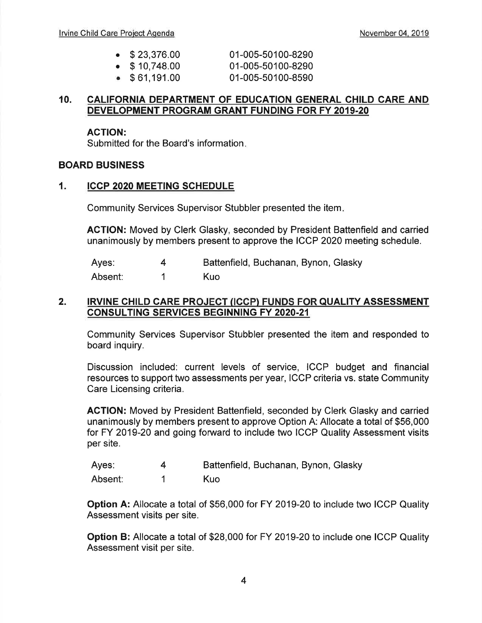| $\bullet$ \$23,376.00 | 01-005-50100-8290 |
|-----------------------|-------------------|
|                       |                   |

- 01-005-50100-8290
- $\bullet$  \$61,191.00 01-005-50100-8590

#### 10. CALIFORNIA DEPARTMENT OF EDUCATION GENERAL CHILD CARE AND DEVELOPMENT PROGRAM GRANT FUNDING FOR FY 2O1g.2O

#### ACTION:

Submitted for the Board's information

#### BOARD BUSINESS

#### 1. ICCP 2O2O MEETING SCHEDULE

 $\bullet$  \$ 10.748.00

Community Services Supervisor Stubbler presented the item

ACTION: Moved by Clerk Glasky, seconded by President Battenfield and carried unanimously by members present to approve the ICCP 2020 meeting schedule.

Ayes: Absent: 4 1 Battenfield, Buchanan, Bynon, Glasky Kuo

#### 2. IRVINE CHILD CARE PROJECT (ICCP) FUNDS FOR QUALITY ASSESSMENT CONSULTING SERVICES BEGINNING FY 2020.21

Community Services Supervisor Stubbler presented the item and responded to board inquiry.

Discussion included: current levels of service, ICCP budget and financial resources to support two assessments per year, ICCP criteria vs. state Community Care Licensing criteria.

AGTION: Moved by President Battenfield, seconded by Clerk Glasky and carried unanimously by members present to approve Option A: Allocate a total of \$56,000 for FY 2019-20 and going forward to include two ICCP Quality Assessment visits per site.

| Ayes:   | Battenfield, Buchanan, Bynon, Glasky |
|---------|--------------------------------------|
| Absent: | Kuo                                  |

Option A: Allocate a total of \$56,000 for FY 2019-20 to include two ICCP Quality Assessment visits per site.

Option B: Allocate a total of \$28,000 for FY 2019-20 to include one ICCP Quality Assessment visit per site.